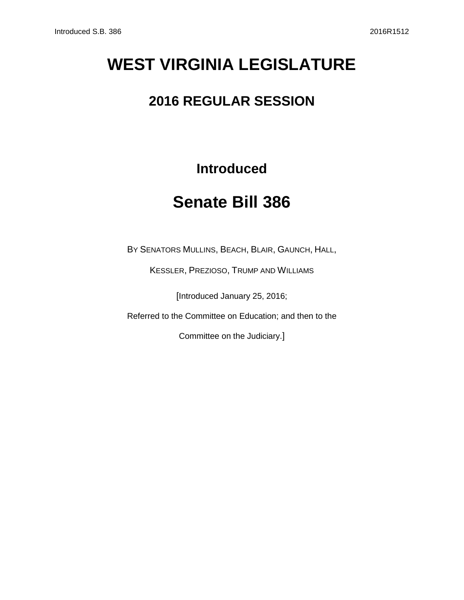# **WEST VIRGINIA LEGISLATURE**

## **2016 REGULAR SESSION**

### **Introduced**

## **Senate Bill 386**

BY SENATORS MULLINS, BEACH, BLAIR, GAUNCH, HALL,

KESSLER, PREZIOSO, TRUMP AND WILLIAMS

[Introduced January 25, 2016;

Referred to the Committee on Education; and then to the

Committee on the Judiciary.]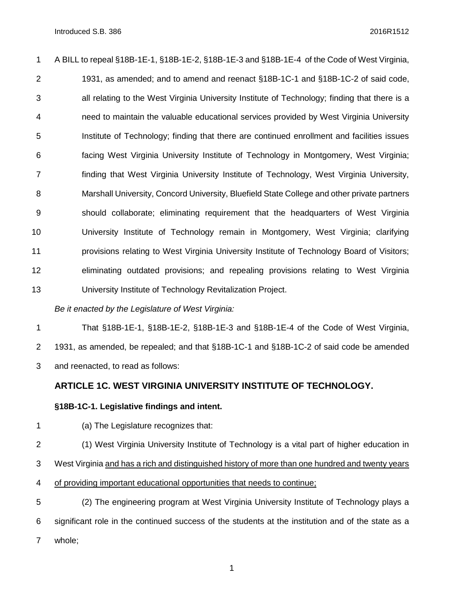A BILL to repeal §18B-1E-1, §18B-1E-2, §18B-1E-3 and §18B-1E-4 of the Code of West Virginia, 1931, as amended; and to amend and reenact §18B-1C-1 and §18B-1C-2 of said code, all relating to the West Virginia University Institute of Technology; finding that there is a need to maintain the valuable educational services provided by West Virginia University Institute of Technology; finding that there are continued enrollment and facilities issues facing West Virginia University Institute of Technology in Montgomery, West Virginia; finding that West Virginia University Institute of Technology, West Virginia University, Marshall University, Concord University, Bluefield State College and other private partners should collaborate; eliminating requirement that the headquarters of West Virginia University Institute of Technology remain in Montgomery, West Virginia; clarifying provisions relating to West Virginia University Institute of Technology Board of Visitors; eliminating outdated provisions; and repealing provisions relating to West Virginia University Institute of Technology Revitalization Project.

*Be it enacted by the Legislature of West Virginia:*

 That §18B-1E-1, §18B-1E-2, §18B-1E-3 and §18B-1E-4 of the Code of West Virginia, 1931, as amended, be repealed; and that §18B-1C-1 and §18B-1C-2 of said code be amended and reenacted, to read as follows:

### **ARTICLE 1C. WEST VIRGINIA UNIVERSITY INSTITUTE OF TECHNOLOGY.**

### **§18B-1C-1. Legislative findings and intent.**

(a) The Legislature recognizes that:

 (1) West Virginia University Institute of Technology is a vital part of higher education in West Virginia and has a rich and distinguished history of more than one hundred and twenty years of providing important educational opportunities that needs to continue; (2) The engineering program at West Virginia University Institute of Technology plays a

 significant role in the continued success of the students at the institution and of the state as a whole;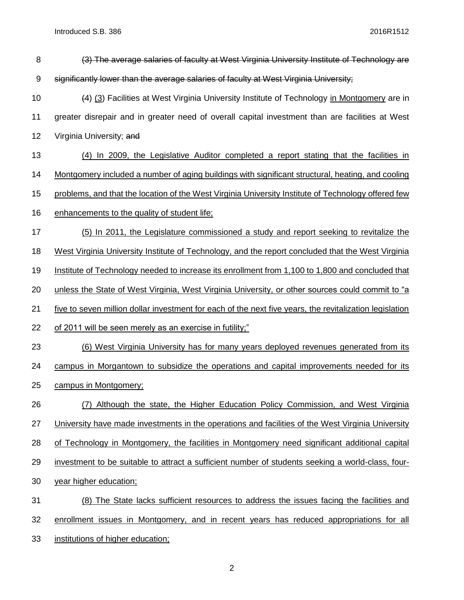Introduced S.B. 386 2016R1512

| 8     | (3) The average salaries of faculty at West Virginia University Institute of Technology are             |
|-------|---------------------------------------------------------------------------------------------------------|
| $9\,$ | significantly lower than the average salaries of faculty at West Virginia University;                   |
| 10    | (4) (3) Facilities at West Virginia University Institute of Technology in Montgomery are in             |
| 11    | greater disrepair and in greater need of overall capital investment than are facilities at West         |
| 12    | Virginia University; and                                                                                |
| 13    | (4) In 2009, the Legislative Auditor completed a report stating that the facilities in                  |
| 14    | Montgomery included a number of aging buildings with significant structural, heating, and cooling       |
| 15    | problems, and that the location of the West Virginia University Institute of Technology offered few     |
| 16    | enhancements to the quality of student life;                                                            |
| 17    | (5) In 2011, the Legislature commissioned a study and report seeking to revitalize the                  |
| 18    | West Virginia University Institute of Technology, and the report concluded that the West Virginia       |
| 19    | Institute of Technology needed to increase its enrollment from 1,100 to 1,800 and concluded that        |
| 20    | unless the State of West Virginia, West Virginia University, or other sources could commit to "a        |
| 21    | five to seven million dollar investment for each of the next five years, the revitalization legislation |
| 22    | of 2011 will be seen merely as an exercise in futility;"                                                |
| 23    | (6) West Virginia University has for many years deployed revenues generated from its                    |
| 24    | campus in Morgantown to subsidize the operations and capital improvements needed for its                |
| 25    | campus in Montgomery;                                                                                   |
| 26    | Although the state, the Higher Education Policy Commission, and West Virginia<br>(7)                    |
| 27    | University have made investments in the operations and facilities of the West Virginia University       |
| 28    | of Technology in Montgomery, the facilities in Montgomery need significant additional capital           |
| 29    | investment to be suitable to attract a sufficient number of students seeking a world-class, four-       |
| 30    | year higher education;                                                                                  |
| 31    | (8) The State lacks sufficient resources to address the issues facing the facilities and                |
| 32    | enrollment issues in Montgomery, and in recent years has reduced appropriations for all                 |
| 33    | institutions of higher education;                                                                       |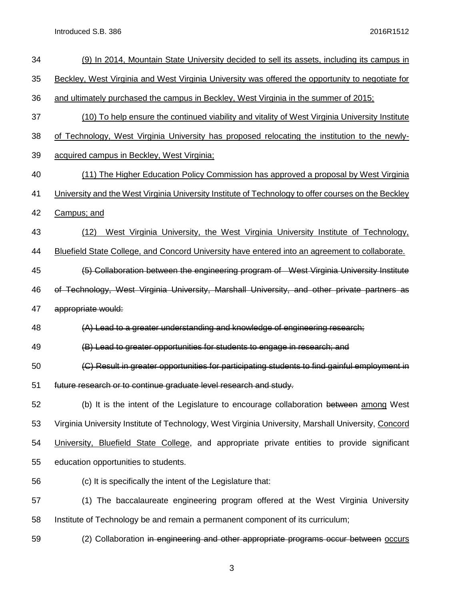Introduced S.B. 386 2016R1512

| 34 | (9) In 2014, Mountain State University decided to sell its assets, including its campus in          |
|----|-----------------------------------------------------------------------------------------------------|
| 35 | Beckley, West Virginia and West Virginia University was offered the opportunity to negotiate for    |
| 36 | and ultimately purchased the campus in Beckley, West Virginia in the summer of 2015;                |
| 37 | (10) To help ensure the continued viability and vitality of West Virginia University Institute      |
| 38 | of Technology, West Virginia University has proposed relocating the institution to the newly-       |
| 39 | acquired campus in Beckley, West Virginia;                                                          |
| 40 | (11) The Higher Education Policy Commission has approved a proposal by West Virginia                |
| 41 | University and the West Virginia University Institute of Technology to offer courses on the Beckley |
| 42 | Campus; and                                                                                         |
| 43 | West Virginia University, the West Virginia University Institute of Technology,<br>(12)             |
| 44 | Bluefield State College, and Concord University have entered into an agreement to collaborate.      |
| 45 | (5) Collaboration between the engineering program of West Virginia University Institute             |
| 46 | of Technology, West Virginia University, Marshall University, and other private partners as         |
| 47 | appropriate would:                                                                                  |
| 48 | (A) Lead to a greater understanding and knowledge of engineering research;                          |
| 49 | (B) Lead to greater opportunities for students to engage in research; and                           |
| 50 | (C) Result in greater opportunities for participating students to find gainful employment in        |
| 51 | future research or to continue graduate level research and study.                                   |
| 52 | (b) It is the intent of the Legislature to encourage collaboration between among West               |
| 53 | Virginia University Institute of Technology, West Virginia University, Marshall University, Concord |
| 54 | University, Bluefield State College, and appropriate private entities to provide significant        |
| 55 | education opportunities to students.                                                                |
| 56 | (c) It is specifically the intent of the Legislature that:                                          |
| 57 | (1) The baccalaureate engineering program offered at the West Virginia University                   |
| 58 | Institute of Technology be and remain a permanent component of its curriculum;                      |
| 59 | (2) Collaboration in engineering and other appropriate programs occur between occurs                |
|    |                                                                                                     |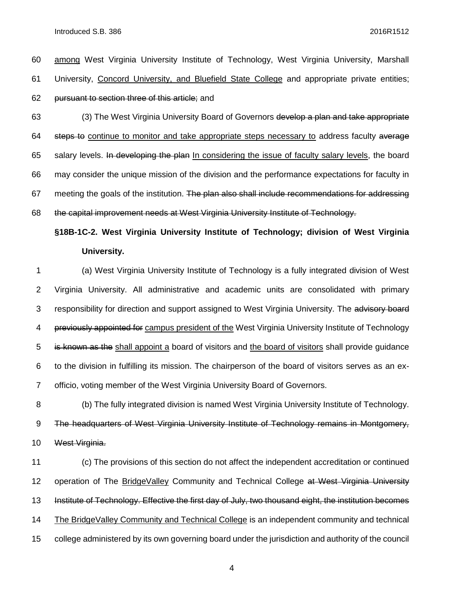among West Virginia University Institute of Technology, West Virginia University, Marshall University, Concord University, and Bluefield State College and appropriate private entities; pursuant to section three of this article; and

 (3) The West Virginia University Board of Governors develop a plan and take appropriate 64 steps to continue to monitor and take appropriate steps necessary to address faculty average 65 salary levels. In developing the plan In considering the issue of faculty salary levels, the board may consider the unique mission of the division and the performance expectations for faculty in 67 meeting the goals of the institution. The plan also shall include recommendations for addressing the capital improvement needs at West Virginia University Institute of Technology.

**§18B-1C-2. West Virginia University Institute of Technology; division of West Virginia University.**

 (a) West Virginia University Institute of Technology is a fully integrated division of West Virginia University. All administrative and academic units are consolidated with primary 3 responsibility for direction and support assigned to West Virginia University. The advisory board 4 previously appointed for campus president of the West Virginia University Institute of Technology 5 is known as the shall appoint a board of visitors and the board of visitors shall provide quidance to the division in fulfilling its mission. The chairperson of the board of visitors serves as an ex-officio, voting member of the West Virginia University Board of Governors.

 (b) The fully integrated division is named West Virginia University Institute of Technology. The headquarters of West Virginia University Institute of Technology remains in Montgomery, West Virginia.

 (c) The provisions of this section do not affect the independent accreditation or continued 12 operation of The BridgeValley Community and Technical College at West Virginia University Institute of Technology. Effective the first day of July, two thousand eight, the institution becomes The BridgeValley Community and Technical College is an independent community and technical college administered by its own governing board under the jurisdiction and authority of the council